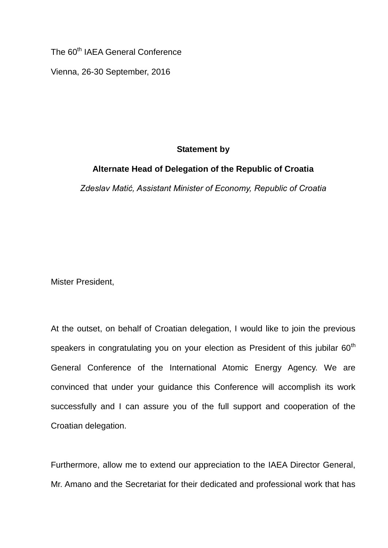The 60<sup>th</sup> IAEA General Conference

Vienna, 26-30 September, 2016

## **Statement by**

## **Alternate Head of Delegation of the Republic of Croatia**

*Zdeslav Matić, Assistant Minister of Economy, Republic of Croatia*

Mister President,

At the outset, on behalf of Croatian delegation, I would like to join the previous speakers in congratulating you on your election as President of this jubilar  $60<sup>th</sup>$ General Conference of the International Atomic Energy Agency. We are convinced that under your guidance this Conference will accomplish its work successfully and I can assure you of the full support and cooperation of the Croatian delegation.

Furthermore, allow me to extend our appreciation to the IAEA Director General, Mr. Amano and the Secretariat for their dedicated and professional work that has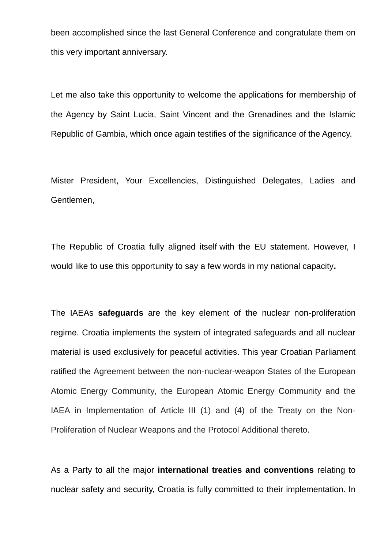been accomplished since the last General Conference and congratulate them on this very important anniversary.

Let me also take this opportunity to welcome the applications for membership of the Agency by Saint Lucia, Saint Vincent and the Grenadines and the Islamic Republic of Gambia, which once again testifies of the significance of the Agency.

Mister President, Your Excellencies, Distinguished Delegates, Ladies and Gentlemen,

The Republic of Croatia fully aligned itself with the EU statement. However, I would like to use this opportunity to say a few words in my national capacity**.**

The IAEAs **safeguards** are the key element of the nuclear non-proliferation regime. Croatia implements the system of integrated safeguards and all nuclear material is used exclusively for peaceful activities. This year Croatian Parliament ratified the Agreement between the non-nuclear-weapon States of the European Atomic Energy Community, the European Atomic Energy Community and the IAEA in Implementation of Article III (1) and (4) of the Treaty on the Non-Proliferation of Nuclear Weapons and the Protocol Additional thereto.

As a Party to all the major **international treaties and conventions** relating to nuclear safety and security, Croatia is fully committed to their implementation. In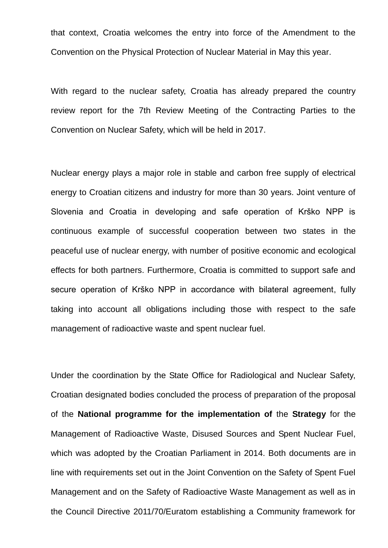that context, Croatia welcomes the entry into force of the Amendment to the Convention on the Physical Protection of Nuclear Material in May this year.

With regard to the nuclear safety, Croatia has already prepared the country review report for the 7th Review Meeting of the Contracting Parties to the Convention on Nuclear Safety, which will be held in 2017.

Nuclear energy plays a major role in stable and carbon free supply of electrical energy to Croatian citizens and industry for more than 30 years. Joint venture of Slovenia and Croatia in developing and safe operation of Krško NPP is continuous example of successful cooperation between two states in the peaceful use of nuclear energy, with number of positive economic and ecological effects for both partners. Furthermore, Croatia is committed to support safe and secure operation of Krško NPP in accordance with bilateral agreement, fully taking into account all obligations including those with respect to the safe management of radioactive waste and spent nuclear fuel.

Under the coordination by the State Office for Radiological and Nuclear Safety, Croatian designated bodies concluded the process of preparation of the proposal of the **National programme for the implementation of** the **Strategy** for the Management of Radioactive Waste, Disused Sources and Spent Nuclear Fuel, which was adopted by the Croatian Parliament in 2014. Both documents are in line with requirements set out in the Joint Convention on the Safety of Spent Fuel Management and on the Safety of Radioactive Waste Management as well as in the Council Directive 2011/70/Euratom establishing a Community framework for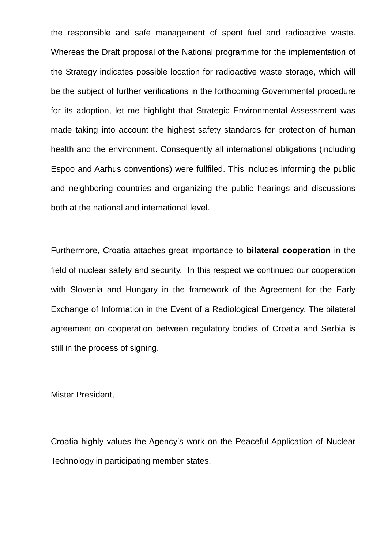the responsible and safe management of spent fuel and radioactive waste. Whereas the Draft proposal of the National programme for the implementation of the Strategy indicates possible location for radioactive waste storage, which will be the subject of further verifications in the forthcoming Governmental procedure for its adoption, let me highlight that Strategic Environmental Assessment was made taking into account the highest safety standards for protection of human health and the environment. Consequently all international obligations (including Espoo and Aarhus conventions) were fullfiled. This includes informing the public and neighboring countries and organizing the public hearings and discussions both at the national and international level.

Furthermore, Croatia attaches great importance to **bilateral cooperation** in the field of nuclear safety and security. In this respect we continued our cooperation with Slovenia and Hungary in the framework of the Agreement for the Early Exchange of Information in the Event of a Radiological Emergency. The bilateral agreement on cooperation between regulatory bodies of Croatia and Serbia is still in the process of signing.

Mister President,

Croatia highly values the Agency's work on the Peaceful Application of Nuclear Technology in participating member states.